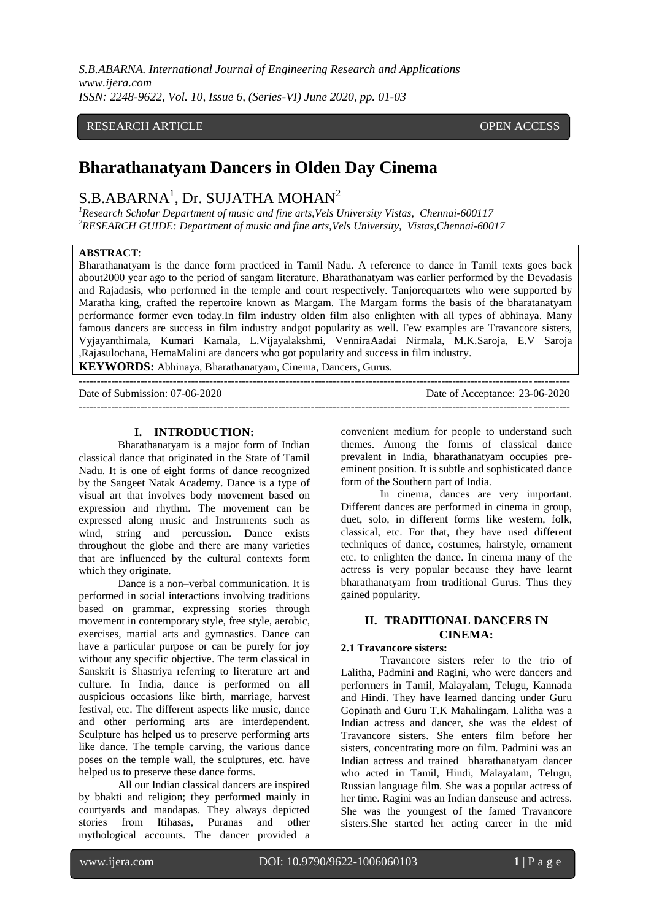*S.B.ABARNA. International Journal of Engineering Research and Applications www.ijera.com ISSN: 2248-9622, Vol. 10, Issue 6, (Series-VI) June 2020, pp. 01-03*

# RESEARCH ARTICLE **CONTRACT OPEN ACCESS**

# **Bharathanatyam Dancers in Olden Day Cinema**

# $\mathrm{S}.\mathrm{B}.\mathrm{ABARNA}^{1},$  Dr. SUJATHA MOHAN $^{2}$

<sup>1</sup>*Research Scholar Department of music and fine arts, Vels University Vistas, Chennai-600117 <sup>2</sup>RESEARCH GUIDE: Department of music and fine arts,Vels University, Vistas,Chennai-60017*

## **ABSTRACT**:

Bharathanatyam is the dance form practiced in Tamil Nadu. A reference to dance in Tamil texts goes back about2000 year ago to the period of sangam literature. Bharathanatyam was earlier performed by the Devadasis and Rajadasis, who performed in the temple and court respectively. Tanjorequartets who were supported by Maratha king, crafted the repertoire known as Margam. The Margam forms the basis of the bharatanatyam performance former even today.In film industry olden film also enlighten with all types of abhinaya. Many famous dancers are success in film industry andgot popularity as well. Few examples are Travancore sisters, Vyjayanthimala, Kumari Kamala, L.Vijayalakshmi, VenniraAadai Nirmala, M.K.Saroja, E.V Saroja ,Rajasulochana, HemaMalini are dancers who got popularity and success in film industry. **KEYWORDS:** Abhinaya, Bharathanatyam, Cinema, Dancers, Gurus.

---------------------------------------------------------------------------------------------------------------------------------------

Date of Acceptance: 23-06-2020 ---------------------------------------------------------------------------------------------------------------------------------------

## **I. INTRODUCTION:**

Bharathanatyam is a major form of Indian classical dance that originated in the State of Tamil Nadu. It is one of eight forms of dance recognized by the Sangeet Natak Academy. Dance is a type of visual art that involves body movement based on expression and rhythm. The movement can be expressed along music and Instruments such as wind, string and percussion. Dance exists throughout the globe and there are many varieties that are influenced by the cultural contexts form which they originate.

Dance is a non–verbal communication. It is performed in social interactions involving traditions based on grammar, expressing stories through movement in contemporary style, free style, aerobic, exercises, martial arts and gymnastics. Dance can have a particular purpose or can be purely for joy without any specific objective. The term classical in Sanskrit is Shastriya referring to literature art and culture. In India, dance is performed on all auspicious occasions like birth, marriage, harvest festival, etc. The different aspects like music, dance and other performing arts are interdependent. Sculpture has helped us to preserve performing arts like dance. The temple carving, the various dance poses on the temple wall, the sculptures, etc. have helped us to preserve these dance forms.

All our Indian classical dancers are inspired by bhakti and religion; they performed mainly in courtyards and mandapas. They always depicted stories from Itihasas, Puranas and other mythological accounts. The dancer provided a convenient medium for people to understand such themes. Among the forms of classical dance prevalent in India, bharathanatyam occupies preeminent position. It is subtle and sophisticated dance form of the Southern part of India.

In cinema, dances are very important. Different dances are performed in cinema in group, duet, solo, in different forms like western, folk, classical, etc. For that, they have used different techniques of dance, costumes, hairstyle, ornament etc. to enlighten the dance. In cinema many of the actress is very popular because they have learnt bharathanatyam from traditional Gurus. Thus they gained popularity.

## **II. TRADITIONAL DANCERS IN CINEMA:**

### **2.1 Travancore sisters:**

Travancore sisters refer to the trio of Lalitha, Padmini and Ragini, who were dancers and performers in Tamil, Malayalam, Telugu, Kannada and Hindi. They have learned dancing under Guru Gopinath and Guru T.K Mahalingam. Lalitha was a Indian actress and dancer, she was the eldest of Travancore sisters. She enters film before her sisters, concentrating more on film. Padmini was an Indian actress and trained bharathanatyam dancer who acted in Tamil, Hindi, Malayalam, Telugu, Russian language film. She was a popular actress of her time. Ragini was an Indian danseuse and actress. She was the youngest of the famed Travancore sisters.She started her acting career in the mid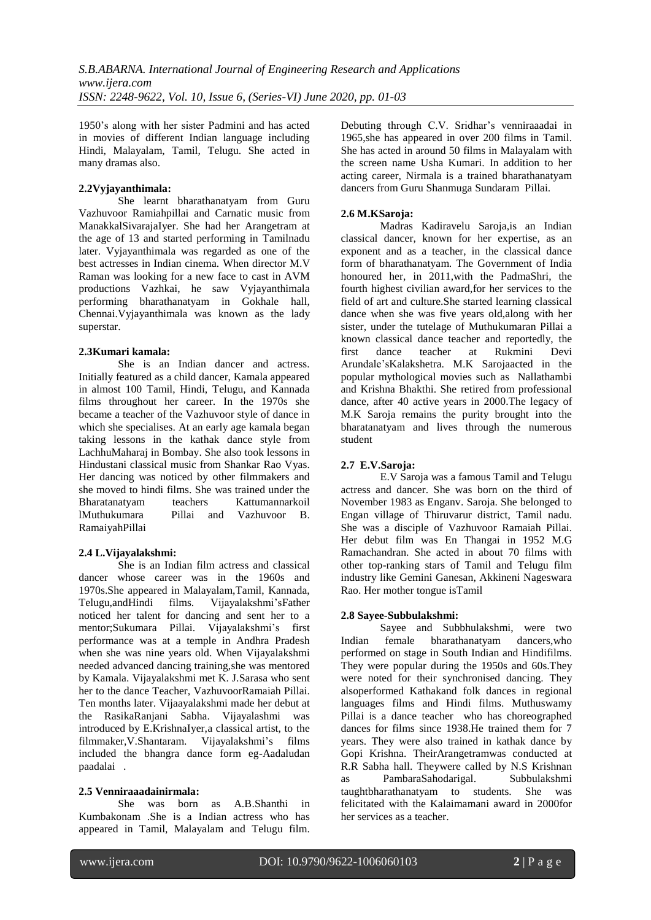1950's along with her sister Padmini and has acted in movies of different Indian language including Hindi, Malayalam, Tamil, Telugu. She acted in many dramas also.

## **2.2Vyjayanthimala:**

She learnt bharathanatyam from Guru Vazhuvoor Ramiahpillai and Carnatic music from ManakkalSivarajaIyer. She had her Arangetram at the age of 13 and started performing in Tamilnadu later. Vyjayanthimala was regarded as one of the best actresses in Indian cinema. When director M.V Raman was looking for a new face to cast in AVM productions Vazhkai, he saw Vyjayanthimala performing bharathanatyam in Gokhale hall, Chennai.Vyjayanthimala was known as the lady superstar.

## **2.3Kumari kamala:**

She is an Indian dancer and actress. Initially featured as a child dancer, Kamala appeared in almost 100 Tamil, Hindi, Telugu, and Kannada films throughout her career. In the 1970s she became a teacher of the Vazhuvoor style of dance in which she specialises. At an early age kamala began taking lessons in the kathak dance style from LachhuMaharaj in Bombay. She also took lessons in Hindustani classical music from Shankar Rao Vyas. Her dancing was noticed by other filmmakers and she moved to hindi films. She was trained under the Bharatanatyam teachers Kattumannarkoil lMuthukumara Pillai and Vazhuvoor B. RamaiyahPillai

# **2.4 L.Vijayalakshmi:**

She is an Indian film actress and classical dancer whose career was in the 1960s and 1970s.She appeared in Malayalam,Tamil, Kannada, Telugu,andHindi films. Vijayalakshmi'sFather noticed her talent for dancing and sent her to a mentor;Sukumara Pillai. Vijayalakshmi's first performance was at a temple in Andhra Pradesh when she was nine years old. When Vijayalakshmi needed advanced dancing training,she was mentored by Kamala. Vijayalakshmi met K. J.Sarasa who sent her to the dance Teacher, VazhuvoorRamaiah Pillai. Ten months later. Vijaayalakshmi made her debut at the RasikaRanjani Sabha. Vijayalashmi was introduced by E.KrishnaIyer,a classical artist, to the filmmaker,V.Shantaram. Vijayalakshmi's films included the bhangra dance form eg-Aadaludan paadalai .

## **2.5 Venniraaadainirmala:**

She was born as A.B.Shanthi in Kumbakonam .She is a Indian actress who has appeared in Tamil, Malayalam and Telugu film. Debuting through C.V. Sridhar's venniraaadai in 1965,she has appeared in over 200 films in Tamil. She has acted in around 50 films in Malayalam with the screen name Usha Kumari. In addition to her acting career, Nirmala is a trained bharathanatyam dancers from Guru Shanmuga Sundaram Pillai.

# **2.6 M.KSaroja:**

Madras Kadiravelu Saroja,is an Indian classical dancer, known for her expertise, as an exponent and as a teacher, in the classical dance form of bharathanatyam. The Government of India honoured her, in 2011,with the PadmaShri, the fourth highest civilian award,for her services to the field of art and culture.She started learning classical dance when she was five years old,along with her sister, under the tutelage of Muthukumaran Pillai a known classical dance teacher and reportedly, the first dance teacher at Rukmini Devi Arundale'sKalakshetra. M.K Sarojaacted in the popular mythological movies such as Nallathambi and Krishna Bhakthi. She retired from professional dance, after 40 active years in 2000.The legacy of M.K Saroja remains the purity brought into the bharatanatyam and lives through the numerous student

# **2.7 E.V.Saroja:**

E.V Saroja was a famous Tamil and Telugu actress and dancer. She was born on the third of November 1983 as Enganv. Saroja. She belonged to Engan village of Thiruvarur district, Tamil nadu. She was a disciple of Vazhuvoor Ramaiah Pillai. Her debut film was En Thangai in 1952 M.G Ramachandran. She acted in about 70 films with other top-ranking stars of Tamil and Telugu film industry like Gemini Ganesan, Akkineni Nageswara Rao. Her mother tongue isTamil

## **2.8 Sayee-Subbulakshmi:**

Sayee and Subbhulakshmi, were two Indian female bharathanatyam dancers,who performed on stage in South Indian and Hindifilms. They were popular during the 1950s and 60s.They were noted for their synchronised dancing. They alsoperformed Kathakand folk dances in regional languages films and Hindi films. Muthuswamy Pillai is a dance teacher who has choreographed dances for films since 1938.He trained them for 7 years. They were also trained in kathak dance by Gopi Krishna. TheirArangetramwas conducted at R.R Sabha hall. Theywere called by N.S Krishnan as PambaraSahodarigal. Subbulakshmi taughtbharathanatyam to students. She was felicitated with the Kalaimamani award in 2000for her services as a teacher.